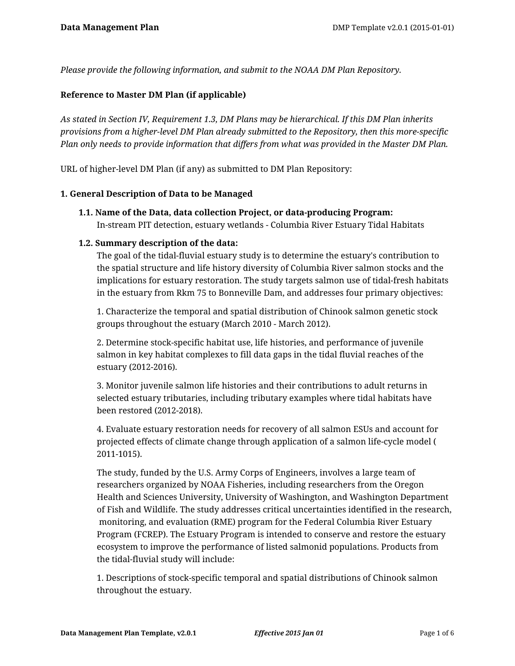*Please provide the following information, and submit to the NOAA DM Plan Repository.*

#### **Reference to Master DM Plan (if applicable)**

*As stated in Section IV, Requirement 1.3, DM Plans may be hierarchical. If this DM Plan inherits provisions from a higher-level DM Plan already submitted to the Repository, then this more-specific Plan only needs to provide information that differs from what was provided in the Master DM Plan.*

URL of higher-level DM Plan (if any) as submitted to DM Plan Repository:

#### **1. General Description of Data to be Managed**

**1.1. Name of the Data, data collection Project, or data-producing Program:** In-stream PIT detection, estuary wetlands - Columbia River Estuary Tidal Habitats

#### **1.2. Summary description of the data:**

The goal of the tidal-fluvial estuary study is to determine the estuary's contribution to the spatial structure and life history diversity of Columbia River salmon stocks and the implications for estuary restoration. The study targets salmon use of tidal-fresh habitats in the estuary from Rkm 75 to Bonneville Dam, and addresses four primary objectives:

1. Characterize the temporal and spatial distribution of Chinook salmon genetic stock groups throughout the estuary (March 2010 - March 2012).

2. Determine stock-specific habitat use, life histories, and performance of juvenile salmon in key habitat complexes to fill data gaps in the tidal fluvial reaches of the estuary (2012-2016).

3. Monitor juvenile salmon life histories and their contributions to adult returns in selected estuary tributaries, including tributary examples where tidal habitats have been restored (2012-2018).

4. Evaluate estuary restoration needs for recovery of all salmon ESUs and account for projected effects of climate change through application of a salmon life-cycle model ( 2011-1015).

The study, funded by the U.S. Army Corps of Engineers, involves a large team of researchers organized by NOAA Fisheries, including researchers from the Oregon Health and Sciences University, University of Washington, and Washington Department of Fish and Wildlife. The study addresses critical uncertainties identified in the research, monitoring, and evaluation (RME) program for the Federal Columbia River Estuary Program (FCREP). The Estuary Program is intended to conserve and restore the estuary ecosystem to improve the performance of listed salmonid populations. Products from the tidal-fluvial study will include:

1. Descriptions of stock-specific temporal and spatial distributions of Chinook salmon throughout the estuary.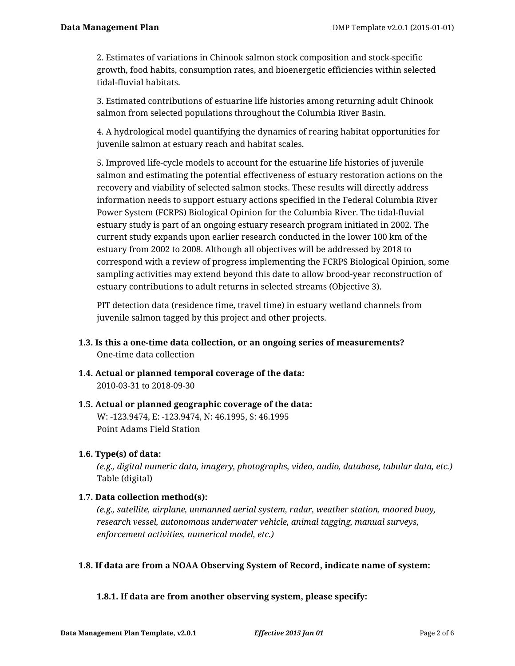2. Estimates of variations in Chinook salmon stock composition and stock-specific growth, food habits, consumption rates, and bioenergetic efficiencies within selected tidal-fluvial habitats.

3. Estimated contributions of estuarine life histories among returning adult Chinook salmon from selected populations throughout the Columbia River Basin.

4. A hydrological model quantifying the dynamics of rearing habitat opportunities for juvenile salmon at estuary reach and habitat scales.

5. Improved life-cycle models to account for the estuarine life histories of juvenile salmon and estimating the potential effectiveness of estuary restoration actions on the recovery and viability of selected salmon stocks. These results will directly address information needs to support estuary actions specified in the Federal Columbia River Power System (FCRPS) Biological Opinion for the Columbia River. The tidal-fluvial estuary study is part of an ongoing estuary research program initiated in 2002. The current study expands upon earlier research conducted in the lower 100 km of the estuary from 2002 to 2008. Although all objectives will be addressed by 2018 to correspond with a review of progress implementing the FCRPS Biological Opinion, some sampling activities may extend beyond this date to allow brood-year reconstruction of estuary contributions to adult returns in selected streams (Objective 3).

PIT detection data (residence time, travel time) in estuary wetland channels from juvenile salmon tagged by this project and other projects.

- **1.3. Is this a one-time data collection, or an ongoing series of measurements?** One-time data collection
- **1.4. Actual or planned temporal coverage of the data:** 2010-03-31 to 2018-09-30
- **1.5. Actual or planned geographic coverage of the data:** W: -123.9474, E: -123.9474, N: 46.1995, S: 46.1995 Point Adams Field Station

# **1.6. Type(s) of data:**

*(e.g., digital numeric data, imagery, photographs, video, audio, database, tabular data, etc.)* Table (digital)

# **1.7. Data collection method(s):**

*(e.g., satellite, airplane, unmanned aerial system, radar, weather station, moored buoy, research vessel, autonomous underwater vehicle, animal tagging, manual surveys, enforcement activities, numerical model, etc.)*

# **1.8. If data are from a NOAA Observing System of Record, indicate name of system:**

## **1.8.1. If data are from another observing system, please specify:**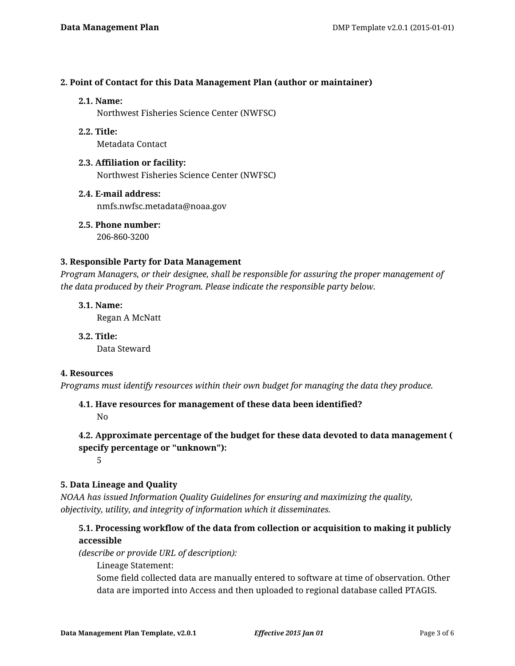#### **2. Point of Contact for this Data Management Plan (author or maintainer)**

#### **2.1. Name:**

Northwest Fisheries Science Center (NWFSC)

**2.2. Title:**

Metadata Contact

- **2.3. Affiliation or facility:** Northwest Fisheries Science Center (NWFSC)
- **2.4. E-mail address:** nmfs.nwfsc.metadata@noaa.gov

**2.5. Phone number:** 206-860-3200

#### **3. Responsible Party for Data Management**

*Program Managers, or their designee, shall be responsible for assuring the proper management of the data produced by their Program. Please indicate the responsible party below.*

**3.1. Name:** Regan A McNatt

**3.2. Title:** Data Steward

## **4. Resources**

*Programs must identify resources within their own budget for managing the data they produce.*

**4.1. Have resources for management of these data been identified?**

No

# **4.2. Approximate percentage of the budget for these data devoted to data management ( specify percentage or "unknown"):**

5

## **5. Data Lineage and Quality**

*NOAA has issued Information Quality Guidelines for ensuring and maximizing the quality, objectivity, utility, and integrity of information which it disseminates.*

# **5.1. Processing workflow of the data from collection or acquisition to making it publicly accessible**

*(describe or provide URL of description):*

Lineage Statement:

Some field collected data are manually entered to software at time of observation. Other data are imported into Access and then uploaded to regional database called PTAGIS.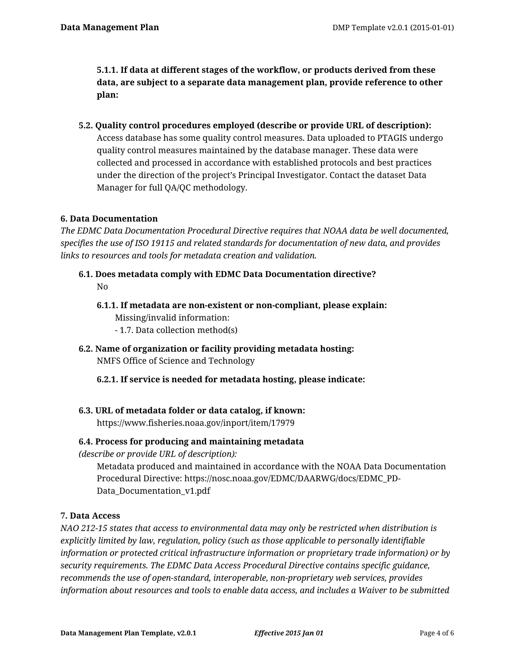**5.1.1. If data at different stages of the workflow, or products derived from these data, are subject to a separate data management plan, provide reference to other plan:**

**5.2. Quality control procedures employed (describe or provide URL of description):** Access database has some quality control measures. Data uploaded to PTAGIS undergo quality control measures maintained by the database manager. These data were collected and processed in accordance with established protocols and best practices under the direction of the project's Principal Investigator. Contact the dataset Data Manager for full QA/QC methodology.

## **6. Data Documentation**

*The EDMC Data Documentation Procedural Directive requires that NOAA data be well documented, specifies the use of ISO 19115 and related standards for documentation of new data, and provides links to resources and tools for metadata creation and validation.*

- **6.1. Does metadata comply with EDMC Data Documentation directive?** No
	- **6.1.1. If metadata are non-existent or non-compliant, please explain:** Missing/invalid information:
		- 1.7. Data collection method(s)
- **6.2. Name of organization or facility providing metadata hosting:** NMFS Office of Science and Technology
	- **6.2.1. If service is needed for metadata hosting, please indicate:**
- **6.3. URL of metadata folder or data catalog, if known:** https://www.fisheries.noaa.gov/inport/item/17979

## **6.4. Process for producing and maintaining metadata**

*(describe or provide URL of description):*

Metadata produced and maintained in accordance with the NOAA Data Documentation Procedural Directive: https://nosc.noaa.gov/EDMC/DAARWG/docs/EDMC\_PD-Data Documentation v1.pdf

## **7. Data Access**

*NAO 212-15 states that access to environmental data may only be restricted when distribution is explicitly limited by law, regulation, policy (such as those applicable to personally identifiable information or protected critical infrastructure information or proprietary trade information) or by security requirements. The EDMC Data Access Procedural Directive contains specific guidance, recommends the use of open-standard, interoperable, non-proprietary web services, provides information about resources and tools to enable data access, and includes a Waiver to be submitted*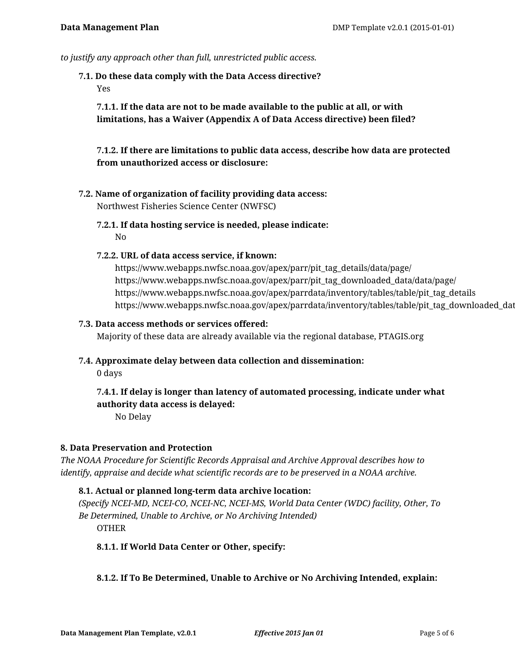*to justify any approach other than full, unrestricted public access.*

**7.1. Do these data comply with the Data Access directive?**

Yes

**7.1.1. If the data are not to be made available to the public at all, or with limitations, has a Waiver (Appendix A of Data Access directive) been filed?**

**7.1.2. If there are limitations to public data access, describe how data are protected from unauthorized access or disclosure:**

- **7.2. Name of organization of facility providing data access:** Northwest Fisheries Science Center (NWFSC)
	- **7.2.1. If data hosting service is needed, please indicate:** No

#### **7.2.2. URL of data access service, if known:**

https://www.webapps.nwfsc.noaa.gov/apex/parr/pit\_tag\_details/data/page/ https://www.webapps.nwfsc.noaa.gov/apex/parr/pit\_tag\_downloaded\_data/data/page/ https://www.webapps.nwfsc.noaa.gov/apex/parrdata/inventory/tables/table/pit\_tag\_details https://www.webapps.nwfsc.noaa.gov/apex/parrdata/inventory/tables/table/pit\_tag\_downloaded\_data

#### **7.3. Data access methods or services offered:**

Majority of these data are already available via the regional database, PTAGIS.org

**7.4. Approximate delay between data collection and dissemination:**

0 days

# **7.4.1. If delay is longer than latency of automated processing, indicate under what authority data access is delayed:**

No Delay

## **8. Data Preservation and Protection**

*The NOAA Procedure for Scientific Records Appraisal and Archive Approval describes how to identify, appraise and decide what scientific records are to be preserved in a NOAA archive.*

## **8.1. Actual or planned long-term data archive location:**

*(Specify NCEI-MD, NCEI-CO, NCEI-NC, NCEI-MS, World Data Center (WDC) facility, Other, To Be Determined, Unable to Archive, or No Archiving Intended)* OTHER

## **8.1.1. If World Data Center or Other, specify:**

## **8.1.2. If To Be Determined, Unable to Archive or No Archiving Intended, explain:**